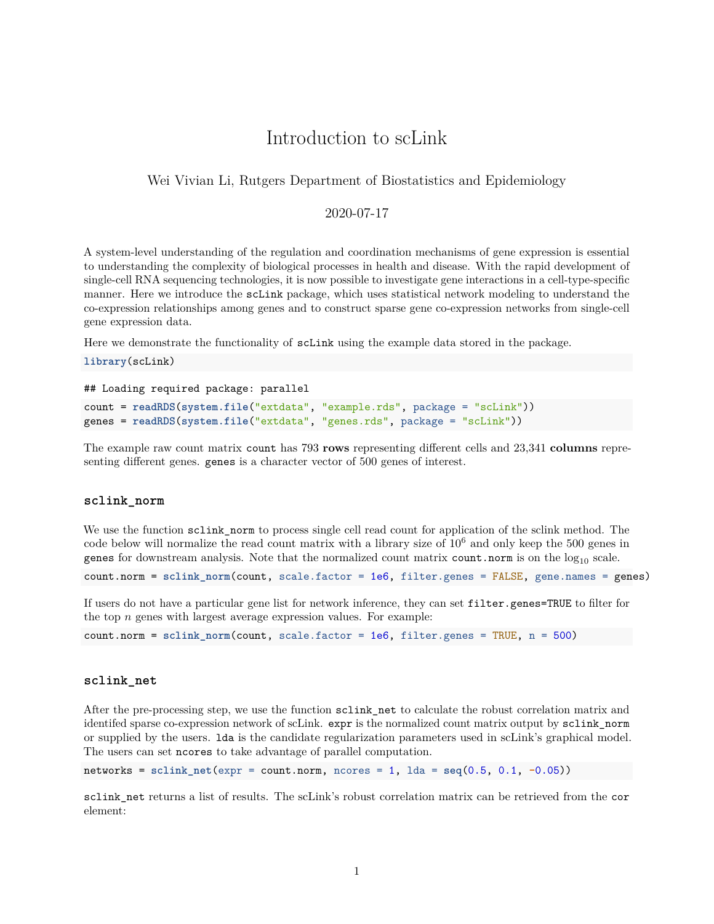# Introduction to scLink

## Wei Vivian Li, Rutgers Department of Biostatistics and Epidemiology

## 2020-07-17

A system-level understanding of the regulation and coordination mechanisms of gene expression is essential to understanding the complexity of biological processes in health and disease. With the rapid development of single-cell RNA sequencing technologies, it is now possible to investigate gene interactions in a cell-type-specific manner. Here we introduce the scLink package, which uses statistical network modeling to understand the co-expression relationships among genes and to construct sparse gene co-expression networks from single-cell gene expression data.

Here we demonstrate the functionality of scLink using the example data stored in the package.

**library**(scLink)

```
## Loading required package: parallel
```

```
count = readRDS(system.file("extdata", "example.rds", package = "scLink"))
genes = readRDS(system.file("extdata", "genes.rds", package = "scLink"))
```
The example raw count matrix count has 793 **rows** representing different cells and 23,341 **columns** representing different genes. genes is a character vector of 500 genes of interest.

#### **sclink\_norm**

We use the function sclink norm to process single cell read count for application of the sclink method. The code below will normalize the read count matrix with a library size of  $10<sup>6</sup>$  and only keep the 500 genes in genes for downstream analysis. Note that the normalized count matrix count.norm is on the  $log_{10}$  scale.

count.norm = **sclink\_norm**(count, scale.factor = 1e6, filter.genes = FALSE, gene.names = genes)

If users do not have a particular gene list for network inference, they can set filter.genes=TRUE to filter for the top *n* genes with largest average expression values. For example:

```
count.norm = sclink_norm(count, scale.factor = 1e6, filter.genes = TRUE, n = 500)
```
### **sclink\_net**

After the pre-processing step, we use the function sclink\_net to calculate the robust correlation matrix and identifed sparse co-expression network of scLink. expr is the normalized count matrix output by sclink\_norm or supplied by the users. lda is the candidate regularization parameters used in scLink's graphical model. The users can set ncores to take advantage of parallel computation.

networks = **sclink\_net**(expr = count.norm, ncores = 1, lda = **seq**(0.5, 0.1, **-**0.05))

sclink net returns a list of results. The scLink's robust correlation matrix can be retrieved from the cor element: